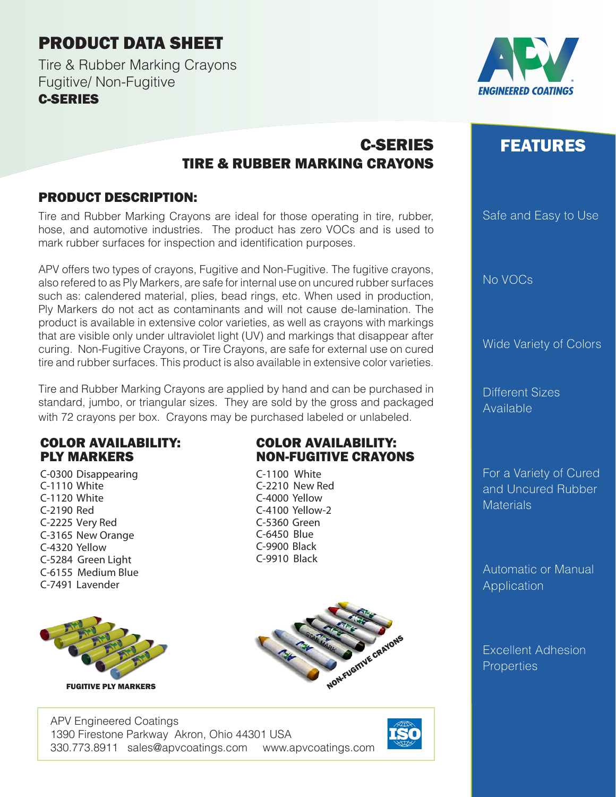## PRODUCT DATA SHEET

Tire & Rubber Marking Crayons Fugitive/ Non-Fugitive C-SERIES



# FEATURES

Safe and Easy to Use

No VOCs

Wide Variety of Colors

Different Sizes Available

For a Variety of Cured and Uncured Rubber **Materials** 

Automatic or Manual Application

Excellent Adhesion **Properties** 

### C-SERIES TIRE & RUBBER MARKING CRAYONS

#### PRODUCT DESCRIPTION:

Tire and Rubber Marking Crayons are ideal for those operating in tire, rubber, hose, and automotive industries. The product has zero VOCs and is used to mark rubber surfaces for inspection and identification purposes.

APV offers two types of crayons, Fugitive and Non-Fugitive. The fugitive crayons, also refered to as Ply Markers, are safe for internal use on uncured rubber surfaces such as: calendered material, plies, bead rings, etc. When used in production, Ply Markers do not act as contaminants and will not cause de-lamination. The product is available in extensive color varieties, as well as crayons with markings that are visible only under ultraviolet light (UV) and markings that disappear after curing. Non-Fugitive Crayons, or Tire Crayons, are safe for external use on cured tire and rubber surfaces. This product is also available in extensive color varieties.

Tire and Rubber Marking Crayons are applied by hand and can be purchased in standard, jumbo, or triangular sizes. They are sold by the gross and packaged with 72 crayons per box. Crayons may be purchased labeled or unlabeled.

#### COLOR AVAILABILITY: PLY MARKERS

C-0300 Disappearing C-1110 White C-1120 White C-2190 Red C-2225 Very Red C-3165 New Orange C-4320 Yellow C-5284 Green Light C-6155 Medium Blue C-7491 Lavender



#### COLOR AVAILABILITY: NON-FUGITIVE CRAYONS

C-1100 White C-2210 New Red C-4000 Yellow C-4100 Yellow-2 C-5360 Green C-6450 Blue C-9900 Black C-9910 Black



APV Engineered Coatings 1390 Firestone Parkway Akron, Ohio 44301 USA 330.773.8911 sales@apvcoatings.com www.apvcoatings.com